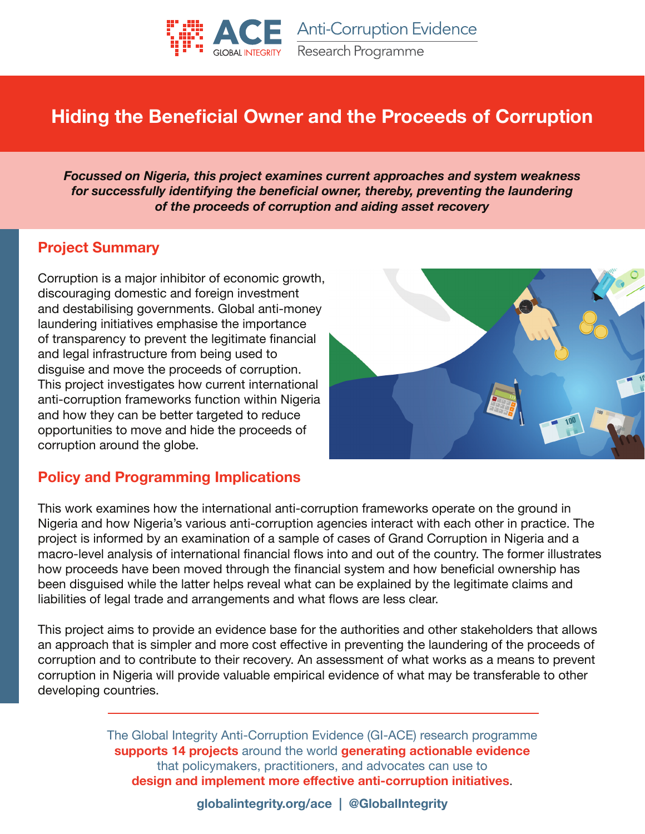

**Anti-Corruption Evidence** Research Programme

# **Hiding the Beneficial Owner and the Proceeds of Corruption**

*Focussed on Nigeria, this project examines current approaches and system weakness* for successfully identifying the beneficial owner, thereby, preventing the laundering *of the proceeds of corruption and aiding asset recovery*

#### **Project Summary**

Corruption is a major inhibitor of economic growth, discouraging domestic and foreign investment and destabilising governments. Global anti-money laundering initiatives emphasise the importance of transparency to prevent the legitimate financial and legal infrastructure from being used to disguise and move the proceeds of corruption. This project investigates how current international anti-corruption frameworks function within Nigeria and how they can be better targeted to reduce opportunities to move and hide the proceeds of corruption around the globe.



#### **Policy and Programming Implications**

This work examines how the international anti-corruption frameworks operate on the ground in Nigeria and how Nigeria's various anti-corruption agencies interact with each other in practice. The project is informed by an examination of a sample of cases of Grand Corruption in Nigeria and a macro-level analysis of international financial flows into and out of the country. The former illustrates how proceeds have been moved through the financial system and how beneficial ownership has been disguised while the latter helps reveal what can be explained by the legitimate claims and liabilities of legal trade and arrangements and what flows are less clear.

This project aims to provide an evidence base for the authorities and other stakeholders that allows an approach that is simpler and more cost effective in preventing the laundering of the proceeds of corruption and to contribute to their recovery. An assessment of what works as a means to prevent corruption in Nigeria will provide valuable empirical evidence of what may be transferable to other developing countries.

> The Global Integrity Anti-Corruption Evidence (GI-ACE) research programme **supports 14 projects** around the world **generating actionable evidence** that policymakers, practitioners, and advocates can use to **design and implement more effective anti-corruption initiatives**.

> > **globalintegrity.org/ace | @GlobalIntegrity**